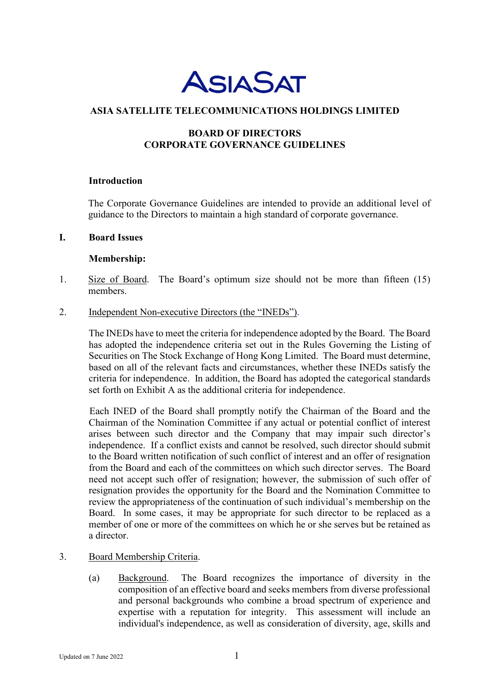

### **ASIA SATELLITE TELECOMMUNICATIONS HOLDINGS LIMITED**

# **BOARD OF DIRECTORS CORPORATE GOVERNANCE GUIDELINES**

#### **Introduction**

The Corporate Governance Guidelines are intended to provide an additional level of guidance to the Directors to maintain a high standard of corporate governance.

#### **I. Board Issues**

#### **Membership:**

- 1. Size of Board. The Board's optimum size should not be more than fifteen (15) members.
- 2. Independent Non-executive Directors (the "INEDs").

The INEDs have to meet the criteria for independence adopted by the Board. The Board has adopted the independence criteria set out in the Rules Governing the Listing of Securities on The Stock Exchange of Hong Kong Limited. The Board must determine, based on all of the relevant facts and circumstances, whether these INEDs satisfy the criteria for independence. In addition, the Board has adopted the categorical standards set forth on Exhibit A as the additional criteria for independence.

Each INED of the Board shall promptly notify the Chairman of the Board and the Chairman of the Nomination Committee if any actual or potential conflict of interest arises between such director and the Company that may impair such director's independence. If a conflict exists and cannot be resolved, such director should submit to the Board written notification of such conflict of interest and an offer of resignation from the Board and each of the committees on which such director serves. The Board need not accept such offer of resignation; however, the submission of such offer of resignation provides the opportunity for the Board and the Nomination Committee to review the appropriateness of the continuation of such individual's membership on the Board. In some cases, it may be appropriate for such director to be replaced as a member of one or more of the committees on which he or she serves but be retained as a director.

### 3. Board Membership Criteria.

(a) Background. The Board recognizes the importance of diversity in the composition of an effective board and seeks members from diverse professional and personal backgrounds who combine a broad spectrum of experience and expertise with a reputation for integrity. This assessment will include an individual's independence, as well as consideration of diversity, age, skills and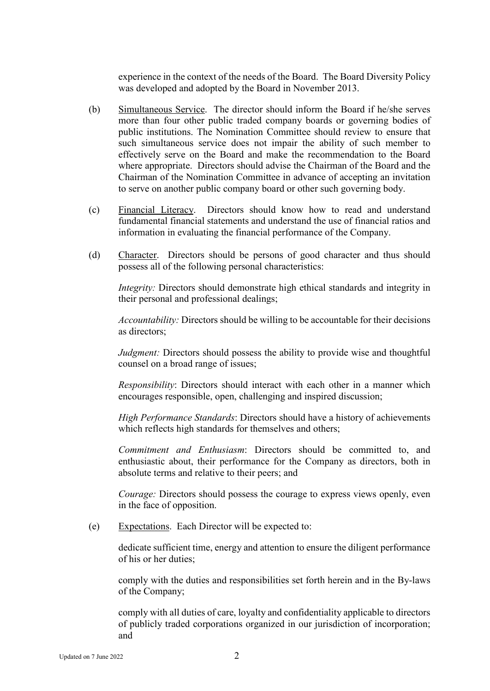experience in the context of the needs of the Board. The Board Diversity Policy was developed and adopted by the Board in November 2013.

- (b) Simultaneous Service. The director should inform the Board if he/she serves more than four other public traded company boards or governing bodies of public institutions. The Nomination Committee should review to ensure that such simultaneous service does not impair the ability of such member to effectively serve on the Board and make the recommendation to the Board where appropriate. Directors should advise the Chairman of the Board and the Chairman of the Nomination Committee in advance of accepting an invitation to serve on another public company board or other such governing body.
- (c) Financial Literacy. Directors should know how to read and understand fundamental financial statements and understand the use of financial ratios and information in evaluating the financial performance of the Company.
- (d) Character. Directors should be persons of good character and thus should possess all of the following personal characteristics:

*Integrity:* Directors should demonstrate high ethical standards and integrity in their personal and professional dealings;

*Accountability:* Directors should be willing to be accountable for their decisions as directors;

*Judgment:* Directors should possess the ability to provide wise and thoughtful counsel on a broad range of issues;

*Responsibility*: Directors should interact with each other in a manner which encourages responsible, open, challenging and inspired discussion;

*High Performance Standards*: Directors should have a history of achievements which reflects high standards for themselves and others;

*Commitment and Enthusiasm*: Directors should be committed to, and enthusiastic about, their performance for the Company as directors, both in absolute terms and relative to their peers; and

*Courage:* Directors should possess the courage to express views openly, even in the face of opposition.

(e) Expectations. Each Director will be expected to:

dedicate sufficient time, energy and attention to ensure the diligent performance of his or her duties;

comply with the duties and responsibilities set forth herein and in the By-laws of the Company;

comply with all duties of care, loyalty and confidentiality applicable to directors of publicly traded corporations organized in our jurisdiction of incorporation; and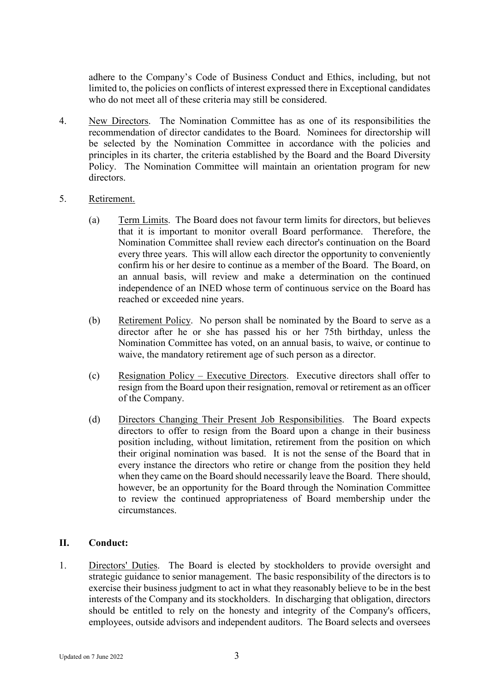adhere to the Company's Code of Business Conduct and Ethics, including, but not limited to, the policies on conflicts of interest expressed there in Exceptional candidates who do not meet all of these criteria may still be considered.

- 4. New Directors. The Nomination Committee has as one of its responsibilities the recommendation of director candidates to the Board. Nominees for directorship will be selected by the Nomination Committee in accordance with the policies and principles in its charter, the criteria established by the Board and the Board Diversity Policy. The Nomination Committee will maintain an orientation program for new directors.
- 5. Retirement.
	- (a) Term Limits. The Board does not favour term limits for directors, but believes that it is important to monitor overall Board performance. Therefore, the Nomination Committee shall review each director's continuation on the Board every three years. This will allow each director the opportunity to conveniently confirm his or her desire to continue as a member of the Board. The Board, on an annual basis, will review and make a determination on the continued independence of an INED whose term of continuous service on the Board has reached or exceeded nine years.
	- (b) Retirement Policy. No person shall be nominated by the Board to serve as a director after he or she has passed his or her 75th birthday, unless the Nomination Committee has voted, on an annual basis, to waive, or continue to waive, the mandatory retirement age of such person as a director.
	- (c) Resignation Policy Executive Directors. Executive directors shall offer to resign from the Board upon their resignation, removal or retirement as an officer of the Company.
	- (d) Directors Changing Their Present Job Responsibilities. The Board expects directors to offer to resign from the Board upon a change in their business position including, without limitation, retirement from the position on which their original nomination was based. It is not the sense of the Board that in every instance the directors who retire or change from the position they held when they came on the Board should necessarily leave the Board. There should, however, be an opportunity for the Board through the Nomination Committee to review the continued appropriateness of Board membership under the circumstances.

## **II. Conduct:**

1. Directors' Duties. The Board is elected by stockholders to provide oversight and strategic guidance to senior management. The basic responsibility of the directors is to exercise their business judgment to act in what they reasonably believe to be in the best interests of the Company and its stockholders. In discharging that obligation, directors should be entitled to rely on the honesty and integrity of the Company's officers, employees, outside advisors and independent auditors. The Board selects and oversees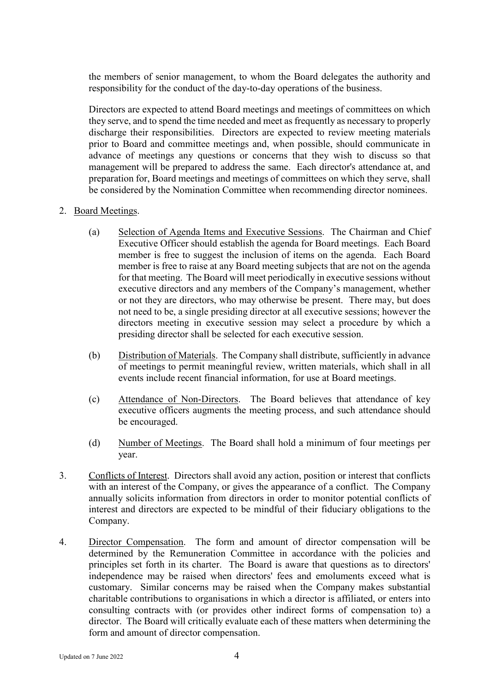the members of senior management, to whom the Board delegates the authority and responsibility for the conduct of the day-to-day operations of the business.

Directors are expected to attend Board meetings and meetings of committees on which they serve, and to spend the time needed and meet as frequently as necessary to properly discharge their responsibilities. Directors are expected to review meeting materials prior to Board and committee meetings and, when possible, should communicate in advance of meetings any questions or concerns that they wish to discuss so that management will be prepared to address the same. Each director's attendance at, and preparation for, Board meetings and meetings of committees on which they serve, shall be considered by the Nomination Committee when recommending director nominees.

### 2. Board Meetings.

- (a) Selection of Agenda Items and Executive Sessions. The Chairman and Chief Executive Officer should establish the agenda for Board meetings. Each Board member is free to suggest the inclusion of items on the agenda. Each Board member is free to raise at any Board meeting subjects that are not on the agenda for that meeting. The Board will meet periodically in executive sessions without executive directors and any members of the Company's management, whether or not they are directors, who may otherwise be present. There may, but does not need to be, a single presiding director at all executive sessions; however the directors meeting in executive session may select a procedure by which a presiding director shall be selected for each executive session.
- (b) Distribution of Materials. The Company shall distribute, sufficiently in advance of meetings to permit meaningful review, written materials, which shall in all events include recent financial information, for use at Board meetings.
- (c) Attendance of Non-Directors. The Board believes that attendance of key executive officers augments the meeting process, and such attendance should be encouraged.
- (d) Number of Meetings. The Board shall hold a minimum of four meetings per year.
- 3. Conflicts of Interest. Directors shall avoid any action, position or interest that conflicts with an interest of the Company, or gives the appearance of a conflict. The Company annually solicits information from directors in order to monitor potential conflicts of interest and directors are expected to be mindful of their fiduciary obligations to the Company.
- 4. Director Compensation. The form and amount of director compensation will be determined by the Remuneration Committee in accordance with the policies and principles set forth in its charter. The Board is aware that questions as to directors' independence may be raised when directors' fees and emoluments exceed what is customary. Similar concerns may be raised when the Company makes substantial charitable contributions to organisations in which a director is affiliated, or enters into consulting contracts with (or provides other indirect forms of compensation to) a director. The Board will critically evaluate each of these matters when determining the form and amount of director compensation.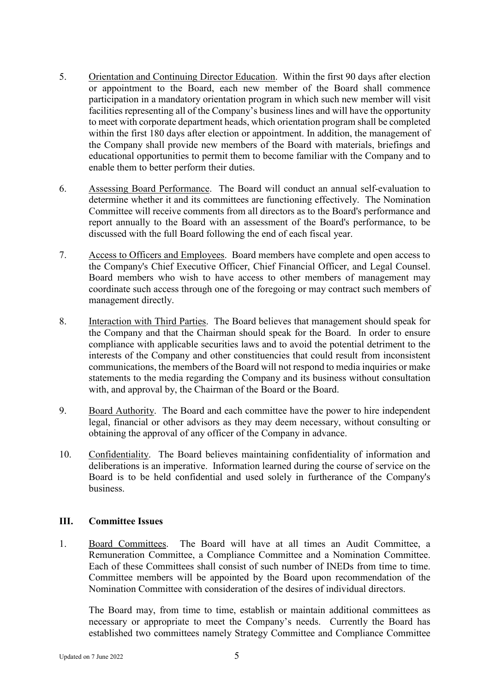- 5. Orientation and Continuing Director Education. Within the first 90 days after election or appointment to the Board, each new member of the Board shall commence participation in a mandatory orientation program in which such new member will visit facilities representing all of the Company's business lines and will have the opportunity to meet with corporate department heads, which orientation program shall be completed within the first 180 days after election or appointment. In addition, the management of the Company shall provide new members of the Board with materials, briefings and educational opportunities to permit them to become familiar with the Company and to enable them to better perform their duties.
- 6. Assessing Board Performance. The Board will conduct an annual self-evaluation to determine whether it and its committees are functioning effectively. The Nomination Committee will receive comments from all directors as to the Board's performance and report annually to the Board with an assessment of the Board's performance, to be discussed with the full Board following the end of each fiscal year.
- 7. Access to Officers and Employees. Board members have complete and open access to the Company's Chief Executive Officer, Chief Financial Officer, and Legal Counsel. Board members who wish to have access to other members of management may coordinate such access through one of the foregoing or may contract such members of management directly.
- 8. Interaction with Third Parties. The Board believes that management should speak for the Company and that the Chairman should speak for the Board. In order to ensure compliance with applicable securities laws and to avoid the potential detriment to the interests of the Company and other constituencies that could result from inconsistent communications, the members of the Board will not respond to media inquiries or make statements to the media regarding the Company and its business without consultation with, and approval by, the Chairman of the Board or the Board.
- 9. Board Authority. The Board and each committee have the power to hire independent legal, financial or other advisors as they may deem necessary, without consulting or obtaining the approval of any officer of the Company in advance.
- 10. Confidentiality. The Board believes maintaining confidentiality of information and deliberations is an imperative. Information learned during the course of service on the Board is to be held confidential and used solely in furtherance of the Company's business.

### **III. Committee Issues**

1. Board Committees. The Board will have at all times an Audit Committee, a Remuneration Committee, a Compliance Committee and a Nomination Committee. Each of these Committees shall consist of such number of INEDs from time to time. Committee members will be appointed by the Board upon recommendation of the Nomination Committee with consideration of the desires of individual directors.

The Board may, from time to time, establish or maintain additional committees as necessary or appropriate to meet the Company's needs. Currently the Board has established two committees namely Strategy Committee and Compliance Committee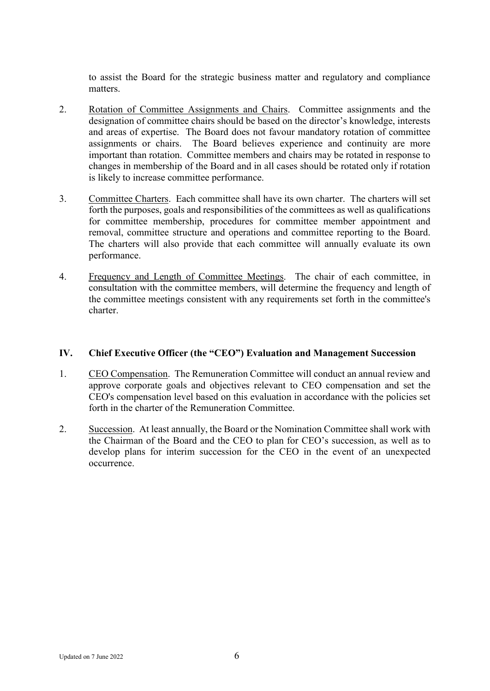to assist the Board for the strategic business matter and regulatory and compliance matters.

- 2. Rotation of Committee Assignments and Chairs. Committee assignments and the designation of committee chairs should be based on the director's knowledge, interests and areas of expertise. The Board does not favour mandatory rotation of committee assignments or chairs. The Board believes experience and continuity are more important than rotation. Committee members and chairs may be rotated in response to changes in membership of the Board and in all cases should be rotated only if rotation is likely to increase committee performance.
- 3. Committee Charters. Each committee shall have its own charter. The charters will set forth the purposes, goals and responsibilities of the committees as well as qualifications for committee membership, procedures for committee member appointment and removal, committee structure and operations and committee reporting to the Board. The charters will also provide that each committee will annually evaluate its own performance.
- 4. Frequency and Length of Committee Meetings. The chair of each committee, in consultation with the committee members, will determine the frequency and length of the committee meetings consistent with any requirements set forth in the committee's charter.

### **IV. Chief Executive Officer (the "CEO") Evaluation and Management Succession**

- 1. CEO Compensation. The Remuneration Committee will conduct an annual review and approve corporate goals and objectives relevant to CEO compensation and set the CEO's compensation level based on this evaluation in accordance with the policies set forth in the charter of the Remuneration Committee.
- 2. Succession. At least annually, the Board or the Nomination Committee shall work with the Chairman of the Board and the CEO to plan for CEO's succession, as well as to develop plans for interim succession for the CEO in the event of an unexpected occurrence.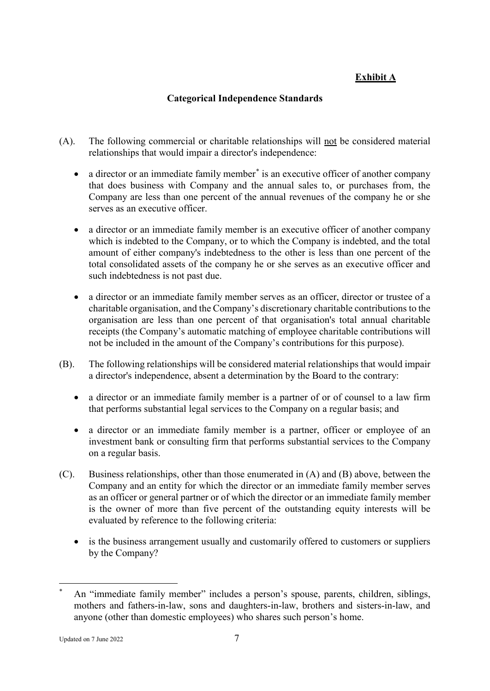# **Exhibit A**

# **Categorical Independence Standards**

- (A). The following commercial or charitable relationships will not be considered material relationships that would impair a director's independence:
	- a director or an immediate family member<sup>[\\*](#page-6-0)</sup> is an executive officer of another company that does business with Company and the annual sales to, or purchases from, the Company are less than one percent of the annual revenues of the company he or she serves as an executive officer.
	- a director or an immediate family member is an executive officer of another company which is indebted to the Company, or to which the Company is indebted, and the total amount of either company's indebtedness to the other is less than one percent of the total consolidated assets of the company he or she serves as an executive officer and such indebtedness is not past due.
	- a director or an immediate family member serves as an officer, director or trustee of a charitable organisation, and the Company's discretionary charitable contributions to the organisation are less than one percent of that organisation's total annual charitable receipts (the Company's automatic matching of employee charitable contributions will not be included in the amount of the Company's contributions for this purpose).
- (B). The following relationships will be considered material relationships that would impair a director's independence, absent a determination by the Board to the contrary:
	- a director or an immediate family member is a partner of or of counsel to a law firm that performs substantial legal services to the Company on a regular basis; and
	- a director or an immediate family member is a partner, officer or employee of an investment bank or consulting firm that performs substantial services to the Company on a regular basis.
- (C). Business relationships, other than those enumerated in (A) and (B) above, between the Company and an entity for which the director or an immediate family member serves as an officer or general partner or of which the director or an immediate family member is the owner of more than five percent of the outstanding equity interests will be evaluated by reference to the following criteria:
	- is the business arrangement usually and customarily offered to customers or suppliers by the Company?

```
Updated on 7 \text{ June } 2022 7
```
<span id="page-6-0"></span>An "immediate family member" includes a person's spouse, parents, children, siblings, mothers and fathers-in-law, sons and daughters-in-law, brothers and sisters-in-law, and anyone (other than domestic employees) who shares such person's home.